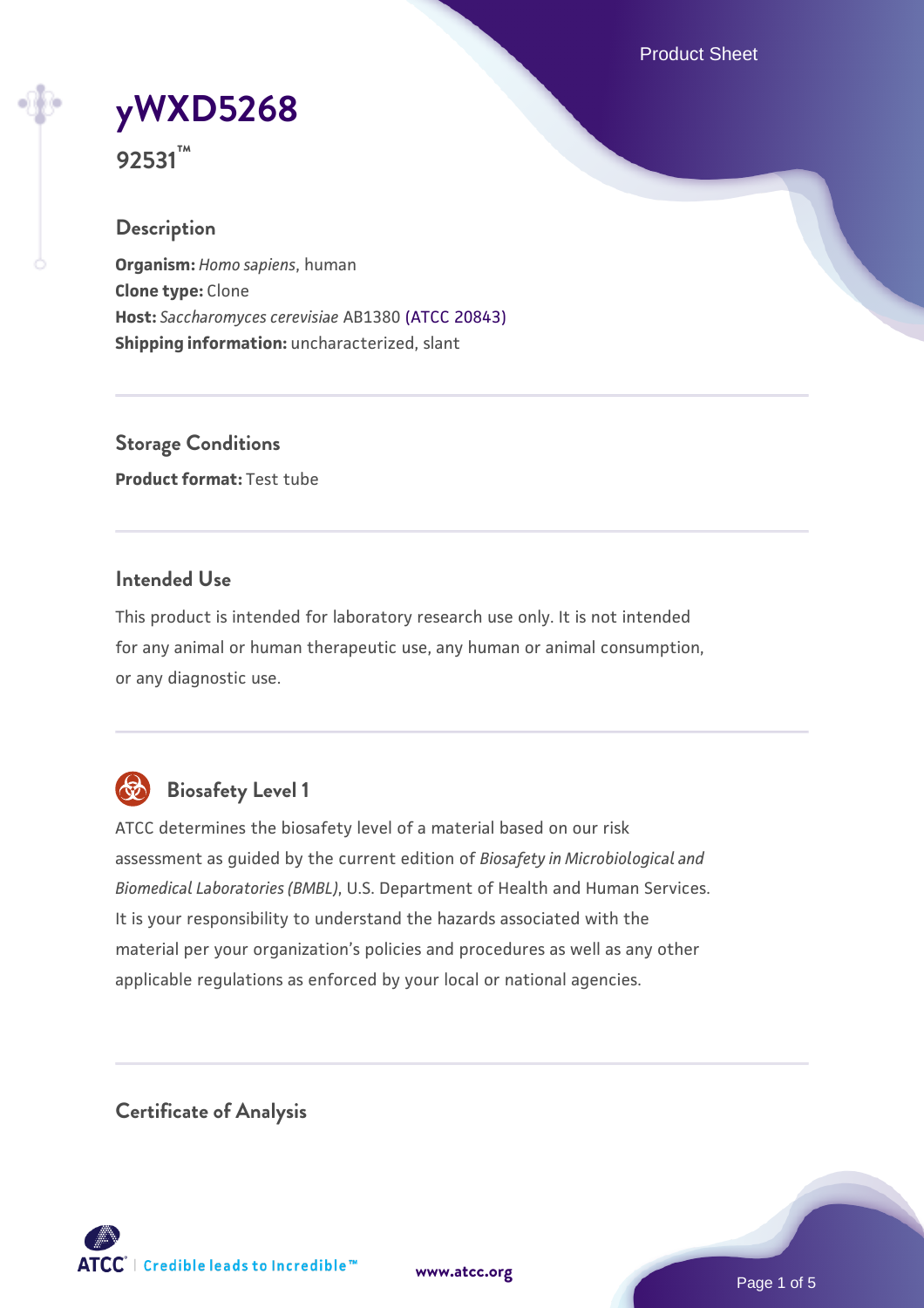Product Sheet

**[yWXD5268](https://www.atcc.org/products/92531)**

**92531™**

## **Description**

**Organism:** *Homo sapiens*, human **Clone type:** Clone **Host:** *Saccharomyces cerevisiae* AB1380 [\(ATCC 20843\)](https://www.atcc.org/products/20843) **Shipping information:** uncharacterized, slant

**Storage Conditions Product format:** Test tube

## **Intended Use**

This product is intended for laboratory research use only. It is not intended for any animal or human therapeutic use, any human or animal consumption, or any diagnostic use.



# **Biosafety Level 1**

ATCC determines the biosafety level of a material based on our risk assessment as guided by the current edition of *Biosafety in Microbiological and Biomedical Laboratories (BMBL)*, U.S. Department of Health and Human Services. It is your responsibility to understand the hazards associated with the material per your organization's policies and procedures as well as any other applicable regulations as enforced by your local or national agencies.

**Certificate of Analysis**

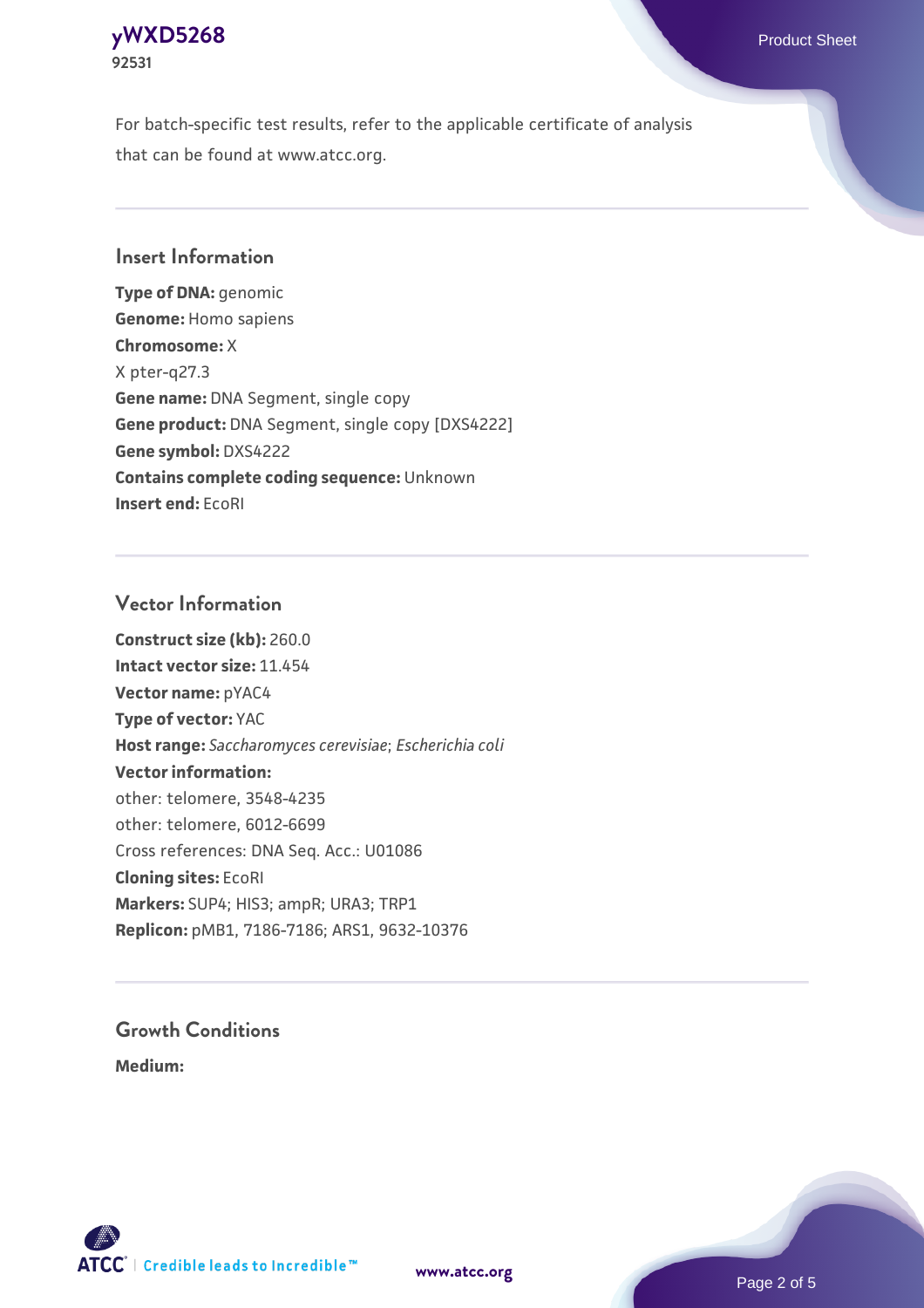#### **[yWXD5268](https://www.atcc.org/products/92531)** Product Sheet **92531**

For batch-specific test results, refer to the applicable certificate of analysis that can be found at www.atcc.org.

## **Insert Information**

**Type of DNA:** genomic **Genome:** Homo sapiens **Chromosome:** X X pter-q27.3 **Gene name:** DNA Segment, single copy **Gene product:** DNA Segment, single copy [DXS4222] **Gene symbol:** DXS4222 **Contains complete coding sequence:** Unknown **Insert end:** EcoRI

#### **Vector Information**

**Construct size (kb):** 260.0 **Intact vector size:** 11.454 **Vector name:** pYAC4 **Type of vector:** YAC **Host range:** *Saccharomyces cerevisiae*; *Escherichia coli* **Vector information:** other: telomere, 3548-4235 other: telomere, 6012-6699 Cross references: DNA Seq. Acc.: U01086 **Cloning sites:** EcoRI **Markers:** SUP4; HIS3; ampR; URA3; TRP1 **Replicon:** pMB1, 7186-7186; ARS1, 9632-10376

# **Growth Conditions**

**Medium:** 



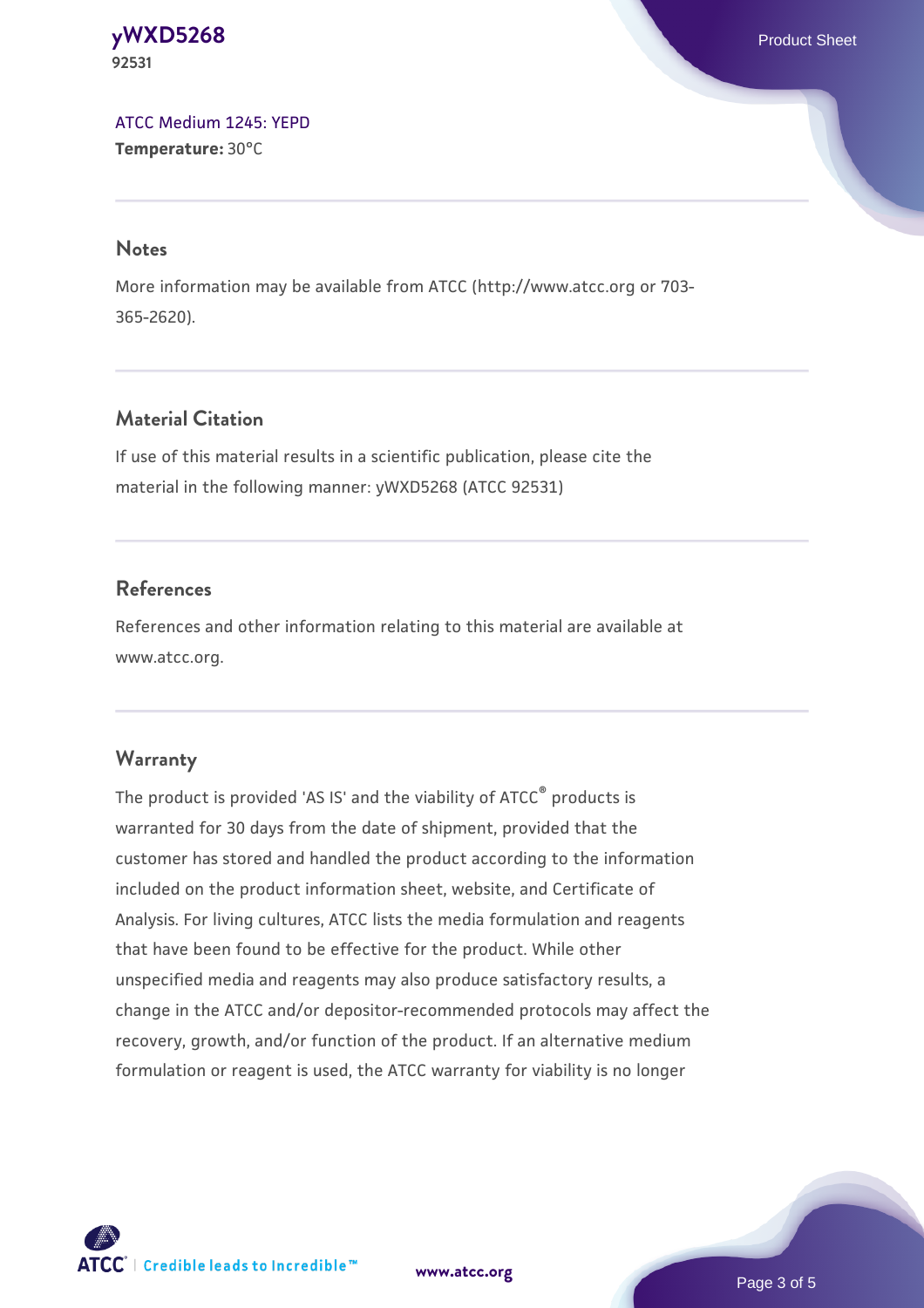#### **[yWXD5268](https://www.atcc.org/products/92531)** Product Sheet **92531**

[ATCC Medium 1245: YEPD](https://www.atcc.org/-/media/product-assets/documents/microbial-media-formulations/1/2/4/5/atcc-medium-1245.pdf?rev=705ca55d1b6f490a808a965d5c072196) **Temperature:** 30°C

#### **Notes**

More information may be available from ATCC (http://www.atcc.org or 703- 365-2620).

# **Material Citation**

If use of this material results in a scientific publication, please cite the material in the following manner: yWXD5268 (ATCC 92531)

# **References**

References and other information relating to this material are available at www.atcc.org.

# **Warranty**

The product is provided 'AS IS' and the viability of ATCC® products is warranted for 30 days from the date of shipment, provided that the customer has stored and handled the product according to the information included on the product information sheet, website, and Certificate of Analysis. For living cultures, ATCC lists the media formulation and reagents that have been found to be effective for the product. While other unspecified media and reagents may also produce satisfactory results, a change in the ATCC and/or depositor-recommended protocols may affect the recovery, growth, and/or function of the product. If an alternative medium formulation or reagent is used, the ATCC warranty for viability is no longer



**[www.atcc.org](http://www.atcc.org)**

Page 3 of 5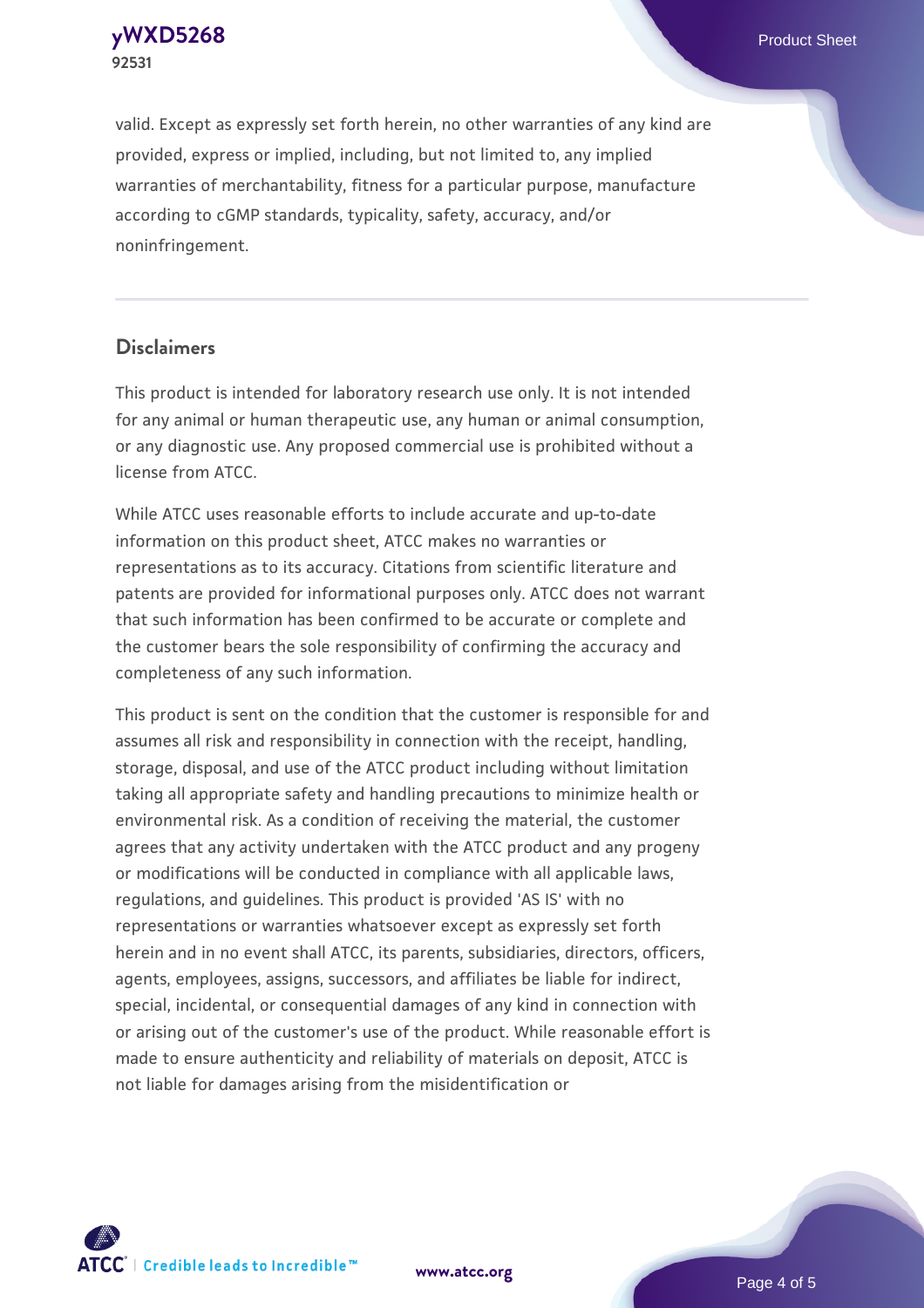**[yWXD5268](https://www.atcc.org/products/92531)** Product Sheet **92531**

valid. Except as expressly set forth herein, no other warranties of any kind are provided, express or implied, including, but not limited to, any implied warranties of merchantability, fitness for a particular purpose, manufacture according to cGMP standards, typicality, safety, accuracy, and/or noninfringement.

#### **Disclaimers**

This product is intended for laboratory research use only. It is not intended for any animal or human therapeutic use, any human or animal consumption, or any diagnostic use. Any proposed commercial use is prohibited without a license from ATCC.

While ATCC uses reasonable efforts to include accurate and up-to-date information on this product sheet, ATCC makes no warranties or representations as to its accuracy. Citations from scientific literature and patents are provided for informational purposes only. ATCC does not warrant that such information has been confirmed to be accurate or complete and the customer bears the sole responsibility of confirming the accuracy and completeness of any such information.

This product is sent on the condition that the customer is responsible for and assumes all risk and responsibility in connection with the receipt, handling, storage, disposal, and use of the ATCC product including without limitation taking all appropriate safety and handling precautions to minimize health or environmental risk. As a condition of receiving the material, the customer agrees that any activity undertaken with the ATCC product and any progeny or modifications will be conducted in compliance with all applicable laws, regulations, and guidelines. This product is provided 'AS IS' with no representations or warranties whatsoever except as expressly set forth herein and in no event shall ATCC, its parents, subsidiaries, directors, officers, agents, employees, assigns, successors, and affiliates be liable for indirect, special, incidental, or consequential damages of any kind in connection with or arising out of the customer's use of the product. While reasonable effort is made to ensure authenticity and reliability of materials on deposit, ATCC is not liable for damages arising from the misidentification or



**[www.atcc.org](http://www.atcc.org)**

Page 4 of 5